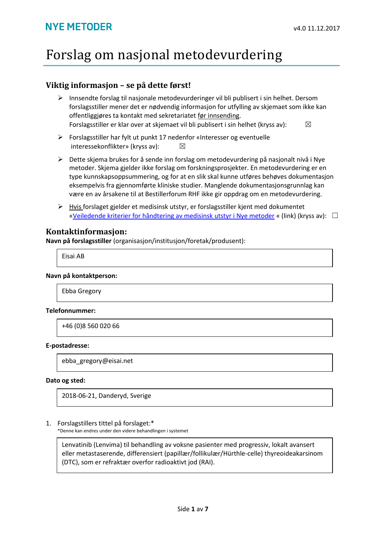# Forslag om nasjonal metodevurdering

### **Viktig informasjon – se på dette først!**

- $\triangleright$  Innsendte forslag til nasionale metodevurderinger vil bli publisert i sin helhet. Dersom forslagsstiller mener det er nødvendig informasjon for utfylling av skjemaet som ikke kan offentliggjøres ta kontakt med sekretariatet før innsending. Forslagsstiller er klar over at skjemaet vil bli publisert i sin helhet (kryss av):  $\boxtimes$
- Forslagsstiller har fylt ut punkt 17 nedenfor «Interesser og eventuelle interessekonflikter» (kryss av):  $\boxtimes$
- $\triangleright$  Dette skjema brukes for å sende inn forslag om metodevurdering på nasjonalt nivå i Nye metoder. Skjema gjelder ikke forslag om forskningsprosjekter. En metodevurdering er en type kunnskapsoppsummering, og for at en slik skal kunne utføres behøves dokumentasjon eksempelvis fra gjennomførte kliniske studier. Manglende dokumentasjonsgrunnlag kan være en av årsakene til at Bestillerforum RHF ikke gir oppdrag om en metodevurdering.
- Hvis forslaget gjelder et medisinsk utstyr, er forslagsstiller kjent med dokumentet [«Veiledende kriterier for håndtering av medisinsk utstyr i Nye metoder](https://nyemetoder.no/Documents/Om%20systemet/Veiledende%20kriterier%20for%20medisinsk%20utstyr%20i%20Nye%20metoder%20(29.06.17).pdf) « (link) (kryss av):  $\Box$

### **Kontaktinformasjon:**

**Navn på forslagsstiller** (organisasjon/institusjon/foretak/produsent):

Eisai AB

#### **Navn på kontaktperson:**

Ebba Gregory

#### **Telefonnummer:**

+46 (0)8 560 020 66

#### **E-postadresse:**

ebba\_gregory@eisai.net

#### **Dato og sted:**

2018-06-21, Danderyd, Sverige

#### 1. Forslagstillers tittel på forslaget:\*

\*Denne kan endres under den videre behandlingen i systemet

Lenvatinib (Lenvima) til behandling av voksne pasienter med progressiv, lokalt avansert eller metastaserende, differensiert (papillær/follikulær/Hürthle-celle) thyreoideakarsinom (DTC), som er refraktær overfor radioaktivt jod (RAI).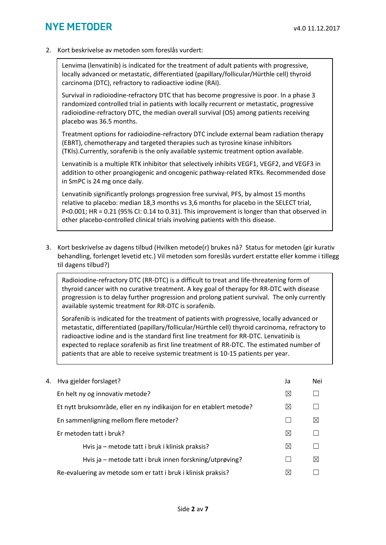### **NYF METODER**

2. Kort beskrivelse av metoden som foreslås vurdert:

Lenvima (lenvatinib) is indicated for the treatment of adult patients with progressive, locally advanced or metastatic, differentiated (papillary/follicular/Hürthle cell) thyroid carcinoma (DTC), refractory to radioactive iodine (RAI).

Survival in radioiodine-refractory DTC that has become progressive is poor. In a phase 3 randomized controlled trial in patients with locally recurrent or metastatic, progressive radioiodine-refractory DTC, the median overall survival (OS) among patients receiving placebo was 36.5 months.

Treatment options for radioiodine-refractory DTC include external beam radiation therapy (EBRT), chemotherapy and targeted therapies such as tyrosine kinase inhibitors (TKIs).Currently, sorafenib is the only available systemic treatment option available.

Lenvatinib is a multiple RTK inhibitor that selectively inhibits VEGF1, VEGF2, and VEGF3 in addition to other proangiogenic and oncogenic pathway-related RTKs. Recommended dose in SmPC is 24 mg once daily.

Lenvatinib significantly prolongs progression free survival, PFS, by almost 15 months relative to placebo: median 18,3 months vs 3,6 months for placebo in the SELECT trial, P<0.001; HR = 0.21 (95% CI: 0.14 to 0.31). This improvement is longer than that observed in other placebo-controlled clinical trials involving patients with this disease.

3. Kort beskrivelse av dagens tilbud (Hvilken metode(r) brukes nå? Status for metoden (gir kurativ behandling, forlenget levetid etc.) Vil metoden som foreslås vurdert erstatte eller komme i tillegg til dagens tilbud?)

Radioiodine-refractory DTC (RR-DTC) is a difficult to treat and life-threatening form of thyroid cancer with no curative treatment. A key goal of therapy for RR-DTC with disease progression is to delay further progression and prolong patient survival.The only currently available systemic treatment for RR-DTC is sorafenib.

Sorafenib is indicated for the treatment of patients with progressive, locally advanced or metastatic, differentiated (papillary/follicular/Hürthle cell) thyroid carcinoma, refractory to radioactive iodine and is the standard first line treatment for RR-DTC. Lenvatinib is expected to replace sorafenib as first line treatment of RR-DTC. The estimated number of patients that are able to receive systemic treatment is 10-15 patients per year.

| 4. Hva gjelder forslaget?                                           | Ja          | Nei         |
|---------------------------------------------------------------------|-------------|-------------|
| En helt ny og innovativ metode?                                     | ⊠           |             |
| Et nytt bruksområde, eller en ny indikasjon for en etablert metode? | $\boxtimes$ |             |
| En sammenligning mellom flere metoder?                              |             | $\bowtie$   |
| Er metoden tatt i bruk?                                             | $\boxtimes$ |             |
| Hvis ja – metode tatt i bruk i klinisk praksis?                     | $\boxtimes$ |             |
| Hvis ja – metode tatt i bruk innen forskning/utprøving?             |             | $\boxtimes$ |
| Re-evaluering av metode som er tatt i bruk i klinisk praksis?       | ⋈           |             |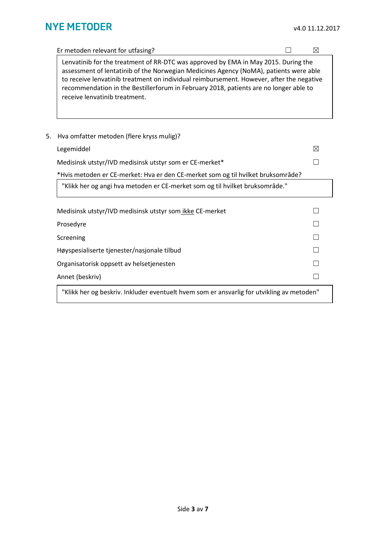|    | Er metoden relevant for utfasing?                                                                                                                                                                                                                                                                                                                                                                 |  | ⊠ |
|----|---------------------------------------------------------------------------------------------------------------------------------------------------------------------------------------------------------------------------------------------------------------------------------------------------------------------------------------------------------------------------------------------------|--|---|
|    | Lenvatinib for the treatment of RR-DTC was approved by EMA in May 2015. During the<br>assessment of lentatinib of the Norwegian Medicines Agency (NoMA), patients were able<br>to receive lenvatinib treatment on individual reimbursement. However, after the negative<br>recommendation in the Bestillerforum in February 2018, patients are no longer able to<br>receive lenvatinib treatment. |  |   |
| 5. | Hva omfatter metoden (flere kryss mulig)?                                                                                                                                                                                                                                                                                                                                                         |  |   |
|    | Legemiddel                                                                                                                                                                                                                                                                                                                                                                                        |  | ⊠ |
|    | Medisinsk utstyr/IVD medisinsk utstyr som er CE-merket*                                                                                                                                                                                                                                                                                                                                           |  |   |
|    | *Hvis metoden er CE-merket: Hva er den CE-merket som og til hvilket bruksområde?                                                                                                                                                                                                                                                                                                                  |  |   |
|    | "Klikk her og angi hva metoden er CE-merket som og til hvilket bruksområde."                                                                                                                                                                                                                                                                                                                      |  |   |
|    | Medisinsk utstyr/IVD medisinsk utstyr som ikke CE-merket                                                                                                                                                                                                                                                                                                                                          |  |   |
|    | Prosedyre                                                                                                                                                                                                                                                                                                                                                                                         |  |   |
|    | Screening                                                                                                                                                                                                                                                                                                                                                                                         |  |   |
|    | Høyspesialiserte tjenester/nasjonale tilbud                                                                                                                                                                                                                                                                                                                                                       |  |   |
|    | Organisatorisk oppsett av helsetjenesten                                                                                                                                                                                                                                                                                                                                                          |  |   |
|    | Annet (beskriv)                                                                                                                                                                                                                                                                                                                                                                                   |  |   |

"Klikk her og beskriv. Inkluder eventuelt hvem som er ansvarlig for utvikling av metoden"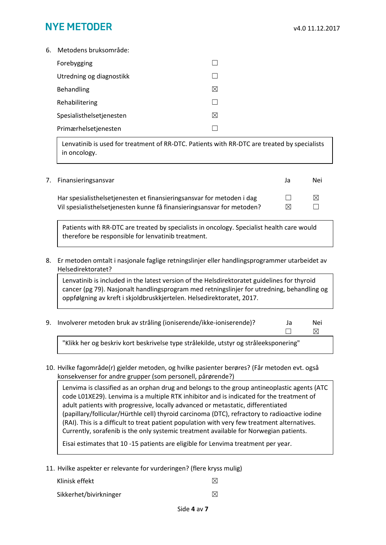# **NYE METODER**

6. Metodens bruksområde:

| Forebygging              |   |
|--------------------------|---|
| Utredning og diagnostikk |   |
| Behandling               | ⋉ |
| Rehabilitering           |   |
| Spesialisthelsetjenesten | ⋉ |
| Primærhelsetjenesten     |   |
|                          |   |

Lenvatinib is used for treatment of RR-DTC. Patients with RR-DTC are treated by specialists in oncology.

### 7. Finansieringsansvar Ja Nei

Har spesialisthelsetjenesten et finansieringsansvar for metoden i dag  $□$ Vil spesialisthelsetjenesten kunne få finansieringsansvar for metoden?  $\boxtimes$ 

| J | ive          |
|---|--------------|
|   | ⊠            |
| ◁ | $\mathsf{L}$ |

Patients with RR-DTC are treated by specialists in oncology. Specialist health care would therefore be responsible for lenvatinib treatment.

8. Er metoden omtalt i nasjonale faglige retningslinjer eller handlingsprogrammer utarbeidet av Helsedirektoratet?

Lenvatinib is included in the latest version of the Helsdirektoratet guidelines for thyroid cancer (pg 79). Nasjonalt handlingsprogram med retningslinjer for utredning, behandling og oppfølgning av kreft i skjoldbruskkjertelen. Helsedirektoratet, 2017.

9. Involverer metoden bruk av stråling (ioniserende/ikke-ioniserende)? Ja Nei

 $\Box$   $\boxtimes$ 

"Klikk her og beskriv kort beskrivelse type strålekilde, utstyr og stråleeksponering"

10. Hvilke fagområde(r) gjelder metoden, og hvilke pasienter berøres? (Får metoden evt. også konsekvenser for andre grupper (som personell, pårørende?)

Lenvima is classified as an orphan drug and belongs to the group antineoplastic agents (ATC code L01XE29). Lenvima is a multiple RTK inhibitor and is indicated for the treatment of adult patients with progressive, locally advanced or metastatic, differentiated (papillary/follicular/Hürthle cell) thyroid carcinoma (DTC), refractory to radioactive iodine (RAI). This is a difficult to treat patient population with very few treatment alternatives. Currently, sorafenib is the only systemic treatment available for Norwegian patients.

Eisai estimates that 10 -15 patients are eligible for Lenvima treatment per year.

11. Hvilke aspekter er relevante for vurderingen? (flere kryss mulig)

| Klinisk effekt         | $\mathbb{X}$ |
|------------------------|--------------|
| Sikkerhet/bivirkninger | $\mathbb{X}$ |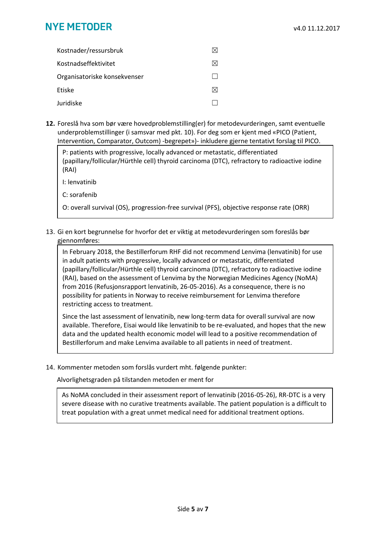# **NYE METODER**

| Kostnader/ressursbruk        |           |
|------------------------------|-----------|
| Kostnadseffektivitet         | $\bowtie$ |
| Organisatoriske konsekvenser |           |
| <b>Ftiske</b>                | M         |
| Juridiske                    |           |

**12.** Foreslå hva som bør være hovedproblemstilling(er) for metodevurderingen, samt eventuelle underproblemstillinger (i samsvar med pkt. 10). For deg som er kjent med «PICO (Patient, Intervention, Comparator, Outcom) -begrepet»)- inkludere gjerne tentativt forslag til PICO.

P: patients with progressive, locally advanced or metastatic, differentiated (papillary/follicular/Hürthle cell) thyroid carcinoma (DTC), refractory to radioactive iodine (RAI)

I: lenvatinib

C: sorafenib

O: overall survival (OS), progression-free survival (PFS), objective response rate (ORR)

13. Gi en kort begrunnelse for hvorfor det er viktig at metodevurderingen som foreslås bør gjennomføres:

In February 2018, the Bestillerforum RHF did not recommend Lenvima (lenvatinib) for use in adult patients with progressive, locally advanced or metastatic, differentiated (papillary/follicular/Hürthle cell) thyroid carcinoma (DTC), refractory to radioactive iodine (RAI), based on the assessment of Lenvima by the Norwegian Medicines Agency (NoMA) from 2016 (Refusjonsrapport lenvatinib, 26-05-2016). As a consequence, there is no possibility for patients in Norway to receive reimbursement for Lenvima therefore restricting access to treatment.

Since the last assessment of lenvatinib, new long-term data for overall survival are now available. Therefore, Eisai would like lenvatinib to be re-evaluated, and hopes that the new data and the updated health economic model will lead to a positive recommendation of Bestillerforum and make Lenvima available to all patients in need of treatment.

14. Kommenter metoden som forslås vurdert mht. følgende punkter:

Alvorlighetsgraden på tilstanden metoden er ment for

As NoMA concluded in their assessment report of lenvatinib (2016-05-26), RR-DTC is a very severe disease with no curative treatments available. The patient population is a difficult to treat population with a great unmet medical need for additional treatment options.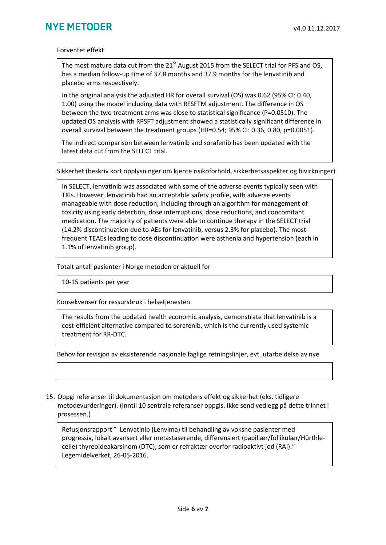#### Forventet effekt

The most mature data cut from the 21<sup>st</sup> August 2015 from the SELECT trial for PFS and OS. has a median follow-up time of 37.8 months and 37.9 months for the lenvatinib and placebo arms respectively.

In the original analysis the adjusted HR for overall survival (OS) was 0.62 (95% CI: 0.40, 1.00) using the model including data with RFSFTM adjustment. The difference in OS between the two treatment arms was close to statistical significance (P=0.0510). The updated OS analysis with RPSFT adjustment showed a statistically significant difference in overall survival between the treatment groups (HR=0.54; 95% CI: 0.36, 0.80, p=0.0051).

The indirect comparison between lenvatinib and sorafenib has been updated with the latest data cut from the SELECT trial.

Sikkerhet (beskriv kort opplysninger om kjente risikoforhold, sikkerhetsaspekter og bivirkninger)

In SELECT, lenvatinib was associated with some of the adverse events typically seen with TKIs. However, lenvatinib had an acceptable safety profile, with adverse events manageable with dose reduction, including through an algorithm for management of toxicity using early detection, dose interruptions, dose reductions, and concomitant medication. The majority of patients were able to continue therapy in the SELECT trial (14.2% discontinuation due to AEs for lenvatinib, versus 2.3% for placebo). The most frequent TEAEs leading to dose discontinuation were asthenia and hypertension (each in 1.1% of lenvatinib group).

Totalt antall pasienter i Norge metoden er aktuell for

10-15 patients per year

Konsekvenser for ressursbruk i helsetjenesten

The results from the updated health economic analysis, demonstrate that lenvatinib is a cost-efficient alternative compared to sorafenib, which is the currently used systemic treatment for RR-DTC.

Behov for revisjon av eksisterende nasjonale faglige retningslinjer, evt. utarbeidelse av nye

15. Oppgi referanser til dokumentasjon om metodens effekt og sikkerhet (eks. tidligere metodevurderinger). (Inntil 10 sentrale referanser oppgis. Ikke send vedlegg på dette trinnet i prosessen.)

Refusjonsrapport " Lenvatinib (Lenvima) til behandling av voksne pasienter med progressiv, lokalt avansert eller metastaserende, differensiert (papillær/follikulær/Hürthlecelle) thyreoideakarsinom (DTC), som er refraktær overfor radioaktivt jod (RAI)." Legemidelverket, 26-05-2016.